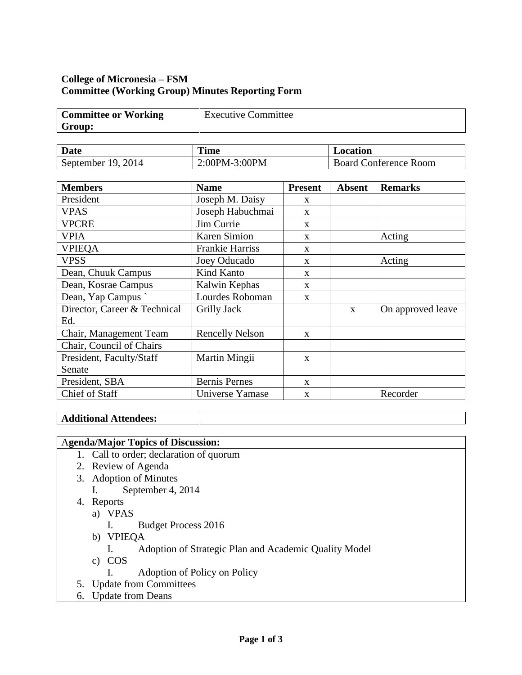# **College of Micronesia – FSM Committee (Working Group) Minutes Reporting Form**

| <b>Committee or Working</b> | <b>Executive Committee</b> |
|-----------------------------|----------------------------|
| Group:                      |                            |

| Date                 | <b>Time</b>   | Location                     |
|----------------------|---------------|------------------------------|
| September $19, 2014$ | 2:00PM-3:00PM | <b>Board Conference Room</b> |

| <b>Members</b>               | <b>Name</b>            | <b>Present</b> | <b>Absent</b> | <b>Remarks</b>    |
|------------------------------|------------------------|----------------|---------------|-------------------|
| President                    | Joseph M. Daisy        | X              |               |                   |
| <b>VPAS</b>                  | Joseph Habuchmai       | X              |               |                   |
| <b>VPCRE</b>                 | Jim Currie             | X              |               |                   |
| <b>VPIA</b>                  | Karen Simion           | X              |               | Acting            |
| <b>VPIEQA</b>                | <b>Frankie Harriss</b> | X              |               |                   |
| <b>VPSS</b>                  | Joey Oducado           | X              |               | Acting            |
| Dean, Chuuk Campus           | Kind Kanto             | $\mathbf{X}$   |               |                   |
| Dean, Kosrae Campus          | Kalwin Kephas          | X              |               |                   |
| Dean, Yap Campus             | Lourdes Roboman        | X              |               |                   |
| Director, Career & Technical | Grilly Jack            |                | $\mathbf{x}$  | On approved leave |
| Ed.                          |                        |                |               |                   |
| Chair, Management Team       | <b>Rencelly Nelson</b> | $\mathbf{x}$   |               |                   |
| Chair, Council of Chairs     |                        |                |               |                   |
| President, Faculty/Staff     | Martin Mingii          | $\mathbf{x}$   |               |                   |
| Senate                       |                        |                |               |                   |
| President, SBA               | <b>Bernis Pernes</b>   | $\mathbf{x}$   |               |                   |
| Chief of Staff               | Universe Yamase        | $\mathbf{X}$   |               | Recorder          |

# **Additional Attendees:**

### A**genda/Major Topics of Discussion:**

- 1. Call to order; declaration of quorum
- 2. Review of Agenda
- 3. Adoption of Minutes
	- I. September 4, 2014
- 4. Reports
	- a) VPAS
		- I. Budget Process 2016
	- b) VPIEQA
		- I. Adoption of Strategic Plan and Academic Quality Model
	- c) COS
		- I. Adoption of Policy on Policy
- 5. Update from Committees
- 6. Update from Deans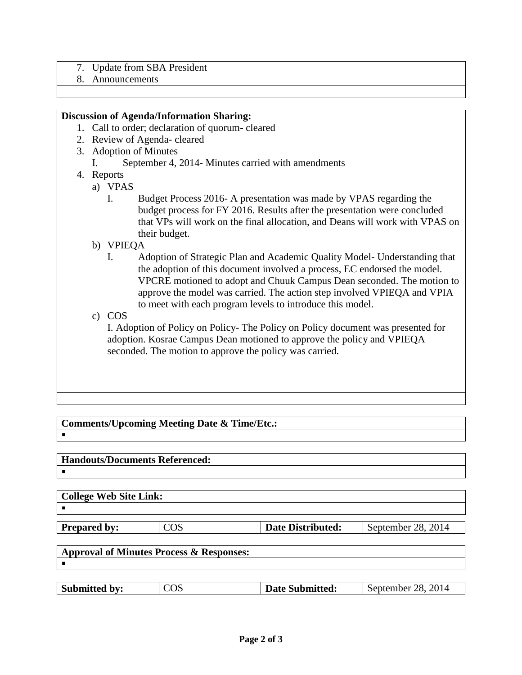- 7. Update from SBA President
- 8. Announcements

#### **Discussion of Agenda/Information Sharing:**

- 1. Call to order; declaration of quorum- cleared
- 2. Review of Agenda- cleared
- 3. Adoption of Minutes
	- I. September 4, 2014- Minutes carried with amendments
- 4. Reports
	- a) VPAS
		- I. Budget Process 2016- A presentation was made by VPAS regarding the budget process for FY 2016. Results after the presentation were concluded that VPs will work on the final allocation, and Deans will work with VPAS on their budget.
	- b) VPIEQA
		- I. Adoption of Strategic Plan and Academic Quality Model- Understanding that the adoption of this document involved a process, EC endorsed the model. VPCRE motioned to adopt and Chuuk Campus Dean seconded. The motion to approve the model was carried. The action step involved VPIEQA and VPIA to meet with each program levels to introduce this model.
	- c) COS

I. Adoption of Policy on Policy- The Policy on Policy document was presented for adoption. Kosrae Campus Dean motioned to approve the policy and VPIEQA seconded. The motion to approve the policy was carried.

**Comments/Upcoming Meeting Date & Time/Etc.:**  $\blacksquare$ 

**Handouts/Documents Referenced:**  $\blacksquare$ 

|    | <b>College Web Site Link:</b> |
|----|-------------------------------|
| -- |                               |

**Prepared by:** COS **Date Distributed:** September 28, 2014

| Approval of Minutes Process $\&$ Responses: |  |
|---------------------------------------------|--|
|                                             |  |

| 28, 2014<br><b>Submitted by:</b><br>COS<br>September<br><b>Date Submitted:</b> |
|--------------------------------------------------------------------------------|
|--------------------------------------------------------------------------------|